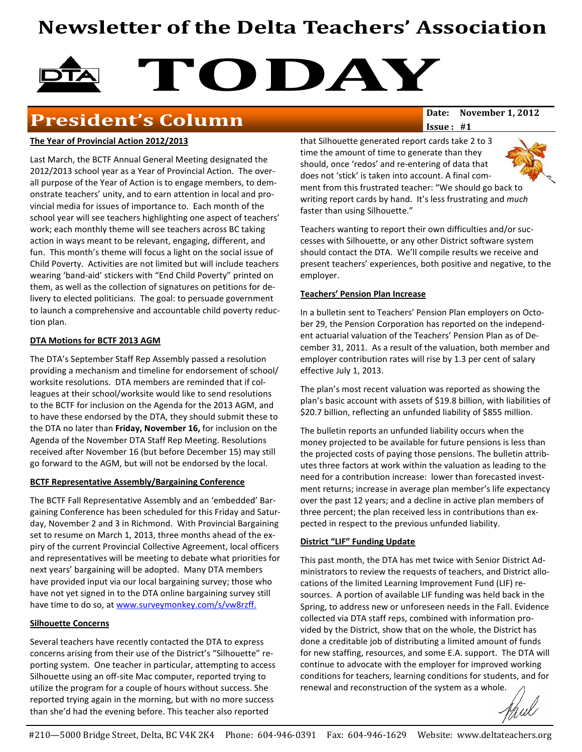# Newsletter of the Delta Teachers' Association

# TODAY

# **President's Column** Date: November 1, 2012

#### The Year of Provincial Action 2012/2013

Last March, the BCTF Annual General Meeting designated the 2012/2013 school year as a Year of Provincial Action. The overall purpose of the Year of Action is to engage members, to demonstrate teachers' unity, and to earn attention in local and provincial media for issues of importance to. Each month of the school year will see teachers highlighting one aspect of teachers' work; each monthly theme will see teachers across BC taking action in ways meant to be relevant, engaging, different, and fun. This month's theme will focus a light on the social issue of Child Poverty. Activities are not limited but will include teachers wearing 'band-aid' stickers with "End Child Poverty" printed on them, as well as the collection of signatures on petitions for delivery to elected politicians. The goal: to persuade government to launch a comprehensive and accountable child poverty reduction plan.

#### DTA Motions for BCTF 2013 AGM

The DTA's September Staff Rep Assembly passed a resolution providing a mechanism and timeline for endorsement of school/ worksite resolutions. DTA members are reminded that if colleagues at their school/worksite would like to send resolutions to the BCTF for inclusion on the Agenda for the 2013 AGM, and to have these endorsed by the DTA, they should submit these to the DTA no later than Friday, November 16, for inclusion on the Agenda of the November DTA Staff Rep Meeting. Resolutions received after November 16 (but before December 15) may still go forward to the AGM, but will not be endorsed by the local.

#### BCTF Representative Assembly/Bargaining Conference

The BCTF Fall Representative Assembly and an 'embedded' Bargaining Conference has been scheduled for this Friday and Saturday, November 2 and 3 in Richmond. With Provincial Bargaining set to resume on March 1, 2013, three months ahead of the expiry of the current Provincial Collective Agreement, local officers and representatives will be meeting to debate what priorities for next years' bargaining will be adopted. Many DTA members have provided input via our local bargaining survey; those who have not yet signed in to the DTA online bargaining survey still have time to do so, at www.surveymonkey.com/s/vw8rzff.

#### Silhouette Concerns

Several teachers have recently contacted the DTA to express concerns arising from their use of the District's "Silhouette" reporting system. One teacher in particular, attempting to access Silhouette using an off-site Mac computer, reported trying to utilize the program for a couple of hours without success. She reported trying again in the morning, but with no more success than she'd had the evening before. This teacher also reported

Issue : #1

that Silhouette generated report cards take 2 to 3 time the amount of time to generate than they should, once 'redos' and re-entering of data that does not 'stick' is taken into account. A final com-



ment from this frustrated teacher: "We should go back to writing report cards by hand. It's less frustrating and much faster than using Silhouette."

Teachers wanting to report their own difficulties and/or successes with Silhouette, or any other District software system should contact the DTA. We'll compile results we receive and present teachers' experiences, both positive and negative, to the employer.

#### Teachers' Pension Plan Increase

In a bulletin sent to Teachers' Pension Plan employers on October 29, the Pension Corporation has reported on the independent actuarial valuation of the Teachers' Pension Plan as of December 31, 2011. As a result of the valuation, both member and employer contribution rates will rise by 1.3 per cent of salary effective July 1, 2013.

The plan's most recent valuation was reported as showing the plan's basic account with assets of \$19.8 billion, with liabilities of \$20.7 billion, reflecting an unfunded liability of \$855 million.

The bulletin reports an unfunded liability occurs when the money projected to be available for future pensions is less than the projected costs of paying those pensions. The bulletin attributes three factors at work within the valuation as leading to the need for a contribution increase: lower than forecasted investment returns; increase in average plan member's life expectancy over the past 12 years; and a decline in active plan members of three percent; the plan received less in contributions than expected in respect to the previous unfunded liability.

#### District "LIF" Funding Update

This past month, the DTA has met twice with Senior District Administrators to review the requests of teachers, and District allocations of the limited Learning Improvement Fund (LIF) resources. A portion of available LIF funding was held back in the Spring, to address new or unforeseen needs in the Fall. Evidence collected via DTA staff reps, combined with information provided by the District, show that on the whole, the District has done a creditable job of distributing a limited amount of funds for new staffing, resources, and some E.A. support. The DTA will continue to advocate with the employer for improved working conditions for teachers, learning conditions for students, and for renewal and reconstruction of the system as a whole.

Haul